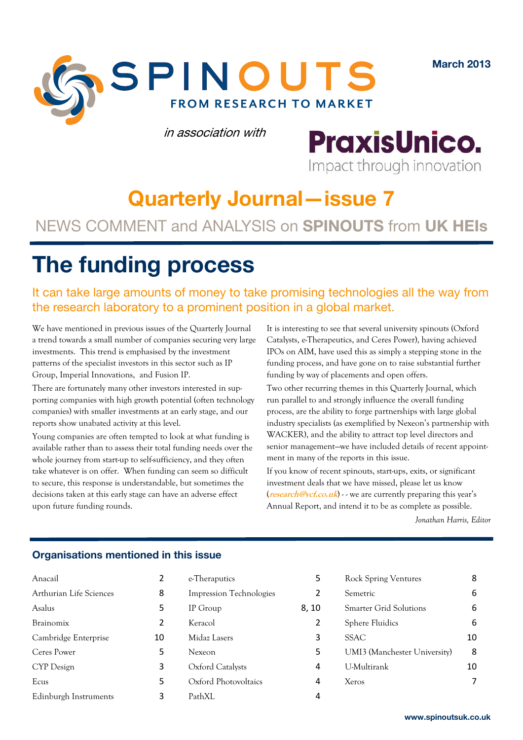**March 2013**



in association with

**PraxisUnico.** Impact through innovation

# **Quarterly Journal—issue 7**

### NEWS COMMENT and ANALYSIS on **SPINOUTS** from **UK HEIs**

# **The funding process**

It can take large amounts of money to take promising technologies all the way from the research laboratory to a prominent position in a global market.

We have mentioned in previous issues of the Quarterly Journal a trend towards a small number of companies securing very large investments. This trend is emphasised by the investment patterns of the specialist investors in this sector such as IP Group, Imperial Innovations, and Fusion IP.

There are fortunately many other investors interested in supporting companies with high growth potential (often technology companies) with smaller investments at an early stage, and our reports show unabated activity at this level.

Young companies are often tempted to look at what funding is available rather than to assess their total funding needs over the whole journey from start-up to self-sufficiency, and they often take whatever is on offer. When funding can seem so difficult to secure, this response is understandable, but sometimes the decisions taken at this early stage can have an adverse effect upon future funding rounds.

It is interesting to see that several university spinouts (Oxford Catalysts, e-Therapeutics, and Ceres Power), having achieved IPOs on AIM, have used this as simply a stepping stone in the funding process, and have gone on to raise substantial further funding by way of placements and open offers.

Two other recurring themes in this Quarterly Journal, which run parallel to and strongly influence the overall funding process, are the ability to forge partnerships with large global industry specialists (as exemplified by Nexeon's partnership with WACKER), and the ability to attract top level directors and senior management—we have included details of recent appointment in many of the reports in this issue.

If you know of recent spinouts, start-ups, exits, or significant investment deals that we have missed, please let us know (**research@ycf.co.uk**) - - we are currently preparing this year's Annual Report, and intend it to be as complete as possible.

*Jonathan Harris, Editor* 

### **Organisations mentioned in this issue**

| Anacail                 | 2  |
|-------------------------|----|
| Arthurian Life Sciences | 8  |
| Asalus                  | 5  |
| Brainomix               | 2  |
| Cambridge Enterprise    | 10 |
| Ceres Power             | 5  |
| CYP Design              | 3  |
| Ecus                    | 5  |
| Edinburgh Instruments   | 3  |

| e-Theraputics           | 5     |
|-------------------------|-------|
| Impression Technologies | 2     |
| IP Group                | 8, 10 |
| Keracol                 | 2     |
| Midaz Lasers            | 3     |
| Nexeon                  | 5     |
| Oxford Catalysts        | 4     |
| Oxford Photovoltaics    | 4     |
| PathXL                  |       |

| <b>Rock Spring Ventures</b>  | 8  |
|------------------------------|----|
| Semetric                     | 6  |
| Smarter Grid Solutions       | 6  |
| Sphere Fluidics              | 6  |
| <b>SSAC</b>                  | 10 |
| UMI3 (Manchester University) | 8  |
| U-Multirank                  | 10 |
| Xeros                        |    |
|                              |    |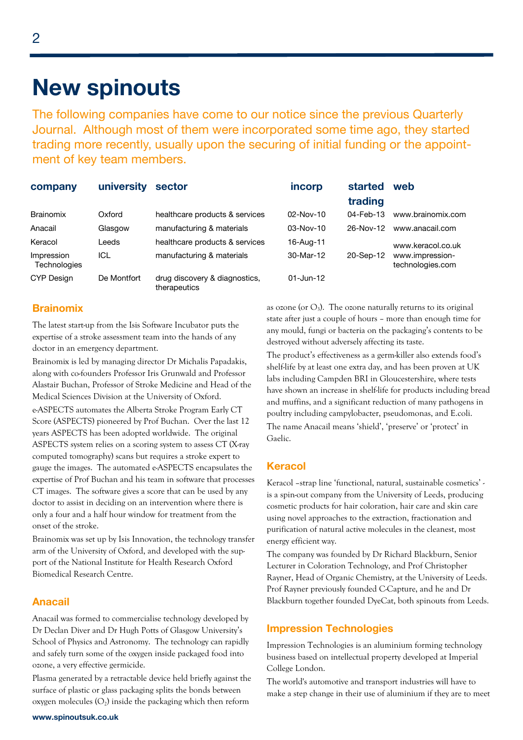### **New spinouts**

The following companies have come to our notice since the previous Quarterly Journal. Although most of them were incorporated some time ago, they started trading more recently, usually upon the securing of initial funding or the appointment of key team members.

| company                           | university  | sector                                        | incorp        | started      | web                                 |  |
|-----------------------------------|-------------|-----------------------------------------------|---------------|--------------|-------------------------------------|--|
|                                   |             |                                               |               | trading      |                                     |  |
| <b>Brainomix</b>                  | Oxford      | healthcare products & services                | $02 - Nov-10$ | $04$ -Feb-13 | www.brainomix.com                   |  |
| Anacail                           | Glasgow     | manufacturing & materials                     | $03-Nov-10$   | 26-Nov-12    | www.anacail.com                     |  |
| Keracol                           | Leeds       | healthcare products & services                | 16-Aug-11     |              | www.keracol.co.uk                   |  |
| Impression<br><b>Technologies</b> | ICL         | manufacturing & materials                     | 30-Mar-12     | 20-Sep-12    | www.impression-<br>technologies.com |  |
| <b>CYP Design</b>                 | De Montfort | drug discovery & diagnostics,<br>therapeutics | $01 - Jun-12$ |              |                                     |  |

### **Brainomix**

The latest start-up from the Isis Software Incubator puts the expertise of a stroke assessment team into the hands of any doctor in an emergency department.

Brainomix is led by managing director Dr Michalis Papadakis, along with co-founders Professor Iris Grunwald and Professor Alastair Buchan, Professor of Stroke Medicine and Head of the Medical Sciences Division at the University of Oxford. e-ASPECTS automates the Alberta Stroke Program Early CT Score (ASPECTS) pioneered by Prof Buchan. Over the last 12 years ASPECTS has been adopted worldwide. The original ASPECTS system relies on a scoring system to assess CT (X-ray computed tomography) scans but requires a stroke expert to gauge the images. The automated e-ASPECTS encapsulates the expertise of Prof Buchan and his team in software that processes CT images. The software gives a score that can be used by any doctor to assist in deciding on an intervention where there is only a four and a half hour window for treatment from the onset of the stroke.

Brainomix was set up by Isis Innovation, the technology transfer arm of the University of Oxford, and developed with the support of the National Institute for Health Research Oxford Biomedical Research Centre.

### **Anacail**

Anacail was formed to commercialise technology developed by Dr Declan Diver and Dr Hugh Potts of Glasgow University's School of Physics and Astronomy. The technology can rapidly and safely turn some of the oxygen inside packaged food into ozone, a very effective germicide.

Plasma generated by a retractable device held briefly against the surface of plastic or glass packaging splits the bonds between oxygen molecules  $(O_2)$  inside the packaging which then reform

as ozone (or  $O_3$ ). The ozone naturally returns to its original state after just a couple of hours – more than enough time for any mould, fungi or bacteria on the packaging's contents to be destroyed without adversely affecting its taste.

The product's effectiveness as a germ-killer also extends food's shelf-life by at least one extra day, and has been proven at UK labs including Campden BRI in Gloucestershire, where tests have shown an increase in shelf-life for products including bread and muffins, and a significant reduction of many pathogens in poultry including campylobacter, pseudomonas, and E.coli. The name Anacail means 'shield', 'preserve' or 'protect' in Gaelic.

### **Keracol**

Keracol –strap line 'functional, natural, sustainable cosmetics' is a spin-out company from the University of Leeds, producing cosmetic products for hair coloration, hair care and skin care using novel approaches to the extraction, fractionation and purification of natural active molecules in the cleanest, most energy efficient way.

The company was founded by Dr Richard Blackburn, Senior Lecturer in Coloration Technology, and Prof Christopher Rayner, Head of Organic Chemistry, at the University of Leeds. Prof Rayner previously founded C-Capture, and he and Dr Blackburn together founded DyeCat, both spinouts from Leeds.

### **Impression Technologies**

Impression Technologies is an aluminium forming technology business based on intellectual property developed at Imperial College London.

The world's automotive and transport industries will have to make a step change in their use of aluminium if they are to meet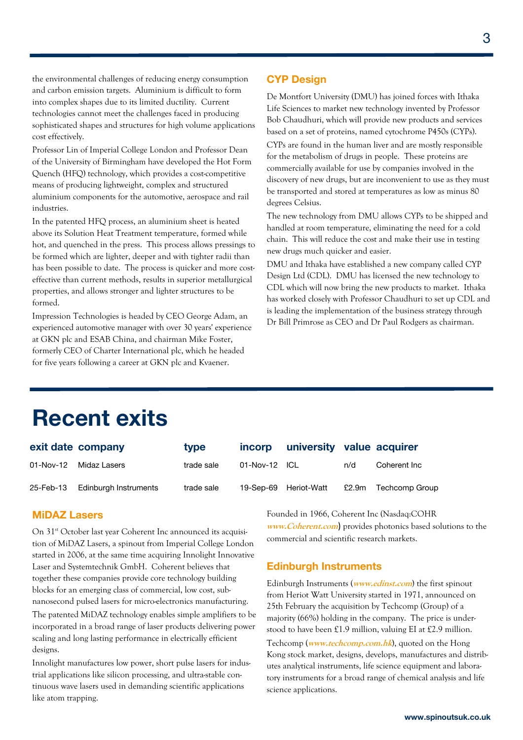the environmental challenges of reducing energy consumption and carbon emission targets. Aluminium is difficult to form into complex shapes due to its limited ductility. Current technologies cannot meet the challenges faced in producing sophisticated shapes and structures for high volume applications cost effectively.

Professor Lin of Imperial College London and Professor Dean of the University of Birmingham have developed the Hot Form Quench (HFQ) technology, which provides a cost-competitive means of producing lightweight, complex and structured aluminium components for the automotive, aerospace and rail industries.

In the patented HFQ process, an aluminium sheet is heated above its Solution Heat Treatment temperature, formed while hot, and quenched in the press. This process allows pressings to be formed which are lighter, deeper and with tighter radii than has been possible to date. The process is quicker and more costeffective than current methods, results in superior metallurgical properties, and allows stronger and lighter structures to be formed.

Impression Technologies is headed by CEO George Adam, an experienced automotive manager with over 30 years' experience at GKN plc and ESAB China, and chairman Mike Foster, formerly CEO of Charter International plc, which he headed for five years following a career at GKN plc and Kvaener.

### **CYP Design**

De Montfort University (DMU) has joined forces with Ithaka Life Sciences to market new technology invented by Professor Bob Chaudhuri, which will provide new products and services based on a set of proteins, named cytochrome P450s (CYPs).

CYPs are found in the human liver and are mostly responsible for the metabolism of drugs in people. These proteins are commercially available for use by companies involved in the discovery of new drugs, but are inconvenient to use as they must be transported and stored at temperatures as low as minus 80 degrees Celsius.

The new technology from DMU allows CYPs to be shipped and handled at room temperature, eliminating the need for a cold chain. This will reduce the cost and make their use in testing new drugs much quicker and easier.

DMU and Ithaka have established a new company called CYP Design Ltd (CDL). DMU has licensed the new technology to CDL which will now bring the new products to market. Ithaka has worked closely with Professor Chaudhuri to set up CDL and is leading the implementation of the business strategy through Dr Bill Primrose as CEO and Dr Paul Rodgers as chairman.

# **Recent exits**

|             | exit date company     | type       |                       | incorp university value acquirer |     |                      |
|-------------|-----------------------|------------|-----------------------|----------------------------------|-----|----------------------|
| $01-Nov-12$ | Midaz Lasers          | trade sale | $01-Nov-12$ ICL       |                                  | n/d | Coherent Inc         |
| 25-Feb-13   | Edinburgh Instruments | trade sale | 19-Sep-69 Heriot-Watt |                                  |     | £2.9m Techcomp Group |

### **MiDAZ Lasers**

On 31<sup>st</sup> October last year Coherent Inc announced its acquisition of MiDAZ Lasers, a spinout from Imperial College London started in 2006, at the same time acquiring Innolight Innovative Laser and Systemtechnik GmbH. Coherent believes that together these companies provide core technology building blocks for an emerging class of commercial, low cost, subnanosecond pulsed lasers for micro-electronics manufacturing. The patented MiDAZ technology enables simple amplifiers to be incorporated in a broad range of laser products delivering power scaling and long lasting performance in electrically efficient designs.

Innolight manufactures low power, short pulse lasers for industrial applications like silicon processing, and ultra-stable continuous wave lasers used in demanding scientific applications like atom trapping.

Founded in 1966, Coherent Inc (Nasdaq:COHR **www.Coherent.com**) provides photonics based solutions to the commercial and scientific research markets.

### **Edinburgh Instruments**

Edinburgh Instruments (**www.edinst.com**) the first spinout from Heriot Watt University started in 1971, announced on 25th February the acquisition by Techcomp (Group) of a majority (66%) holding in the company. The price is understood to have been £1.9 million, valuing EI at £2.9 million. Techcomp (**www.techcomp.com.hk**), quoted on the Hong Kong stock market, designs, develops, manufactures and distributes analytical instruments, life science equipment and laboratory instruments for a broad range of chemical analysis and life science applications.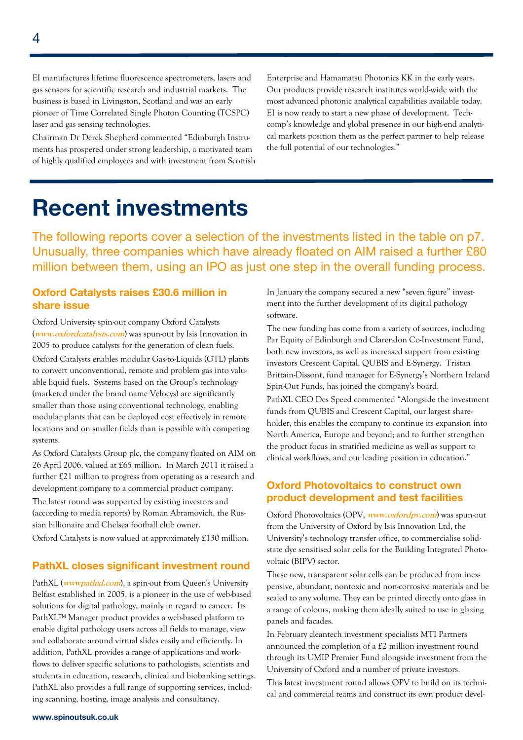EI manufactures lifetime fluorescence spectrometers, lasers and gas sensors for scientific research and industrial markets. The business is based in Livingston, Scotland and was an early pioneer of Time Correlated Single Photon Counting (TCSPC) laser and gas sensing technologies.

Chairman Dr Derek Shepherd commented "Edinburgh Instruments has prospered under strong leadership, a motivated team of highly qualified employees and with investment from Scottish Enterprise and Hamamatsu Photonics KK in the early years. Our products provide research institutes world-wide with the most advanced photonic analytical capabilities available today. EI is now ready to start a new phase of development. Techcomp's knowledge and global presence in our high-end analytical markets position them as the perfect partner to help release the full potential of our technologies."

### **Recent investments**

The following reports cover a selection of the investments listed in the table on p7. Unusually, three companies which have already floated on AIM raised a further £80 million between them, using an IPO as just one step in the overall funding process.

### **Oxford Catalysts raises £30.6 million in share issue**

Oxford University spin-out company Oxford Catalysts (**www.oxfordcatalysts.com**) was spun-out by Isis Innovation in 2005 to produce catalysts for the generation of clean fuels.

Oxford Catalysts enables modular Gas-to-Liquids (GTL) plants to convert unconventional, remote and problem gas into valuable liquid fuels. Systems based on the Group's technology (marketed under the brand name Velocys) are significantly smaller than those using conventional technology, enabling modular plants that can be deployed cost effectively in remote locations and on smaller fields than is possible with competing systems.

As Oxford Catalysts Group plc, the company floated on AIM on 26 April 2006, valued at £65 million. In March 2011 it raised a further £21 million to progress from operating as a research and development company to a commercial product company.

The latest round was supported by existing investors and (according to media reports) by Roman Abramovich, the Russian billionaire and Chelsea football club owner.

Oxford Catalysts is now valued at approximately £130 million.

### **PathXL closes significant investment round**

PathXL (*wwwpathxl.com*), a spin-out from Queen's University Belfast established in 2005, is a pioneer in the use of web-based solutions for digital pathology, mainly in regard to cancer. Its PathXL™ Manager product provides a web-based platform to enable digital pathology users across all fields to manage, view and collaborate around virtual slides easily and efficiently. In addition, PathXL provides a range of applications and workflows to deliver specific solutions to pathologists, scientists and students in education, research, clinical and biobanking settings. PathXL also provides a full range of supporting services, including scanning, hosting, image analysis and consultancy.

In January the company secured a new "seven figure" investment into the further development of its digital pathology software.

The new funding has come from a variety of sources, including Par Equity of Edinburgh and Clarendon Co-Investment Fund, both new investors, as well as increased support from existing investors Crescent Capital, QUBIS and E-Synergy. Tristan Brittain-Dissont, fund manager for E-Synergy's Northern Ireland Spin-Out Funds, has joined the company's board.

PathXL CEO Des Speed commented "Alongside the investment funds from QUBIS and Crescent Capital, our largest shareholder, this enables the company to continue its expansion into North America, Europe and beyond; and to further strengthen the product focus in stratified medicine as well as support to clinical workflows, and our leading position in education."

### **Oxford Photovoltaics to construct own product development and test facilities**

Oxford Photovoltaics (OPV, **www.oxfordpv.com**) was spun-out from the University of Oxford by Isis Innovation Ltd, the University's technology transfer office, to commercialise solidstate dye sensitised solar cells for the Building Integrated Photovoltaic (BIPV) sector.

These new, transparent solar cells can be produced from inexpensive, abundant, nontoxic and non-corrosive materials and be scaled to any volume. They can be printed directly onto glass in a range of colours, making them ideally suited to use in glazing panels and facades.

In February cleantech investment specialists MTI Partners announced the completion of a £2 million investment round through its UMIP Premier Fund alongside investment from the University of Oxford and a number of private investors.

This latest investment round allows OPV to build on its technical and commercial teams and construct its own product devel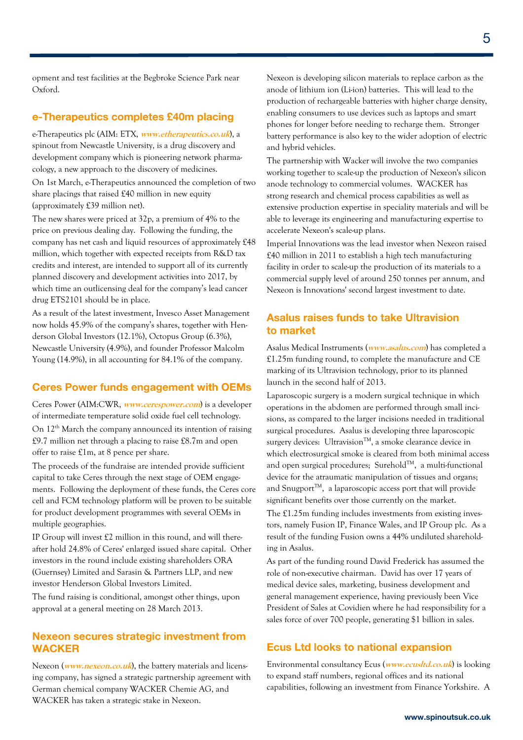opment and test facilities at the Begbroke Science Park near Oxford.

### **e-Therapeutics completes £40m placing**

e-Therapeutics plc (AIM: ETX, **www.etherapeutics.co.uk**), a spinout from Newcastle University, is a drug discovery and development company which is pioneering network pharmacology, a new approach to the discovery of medicines.

On 1st March, e-Therapeutics announced the completion of two share placings that raised £40 million in new equity (approximately £39 million net).

The new shares were priced at 32p, a premium of 4% to the price on previous dealing day. Following the funding, the company has net cash and liquid resources of approximately £48 million, which together with expected receipts from R&D tax credits and interest, are intended to support all of its currently planned discovery and development activities into 2017, by which time an outlicensing deal for the company's lead cancer drug ETS2101 should be in place.

As a result of the latest investment, Invesco Asset Management now holds 45.9% of the company's shares, together with Henderson Global Investors (12.1%), Octopus Group (6.3%), Newcastle University (4.9%), and founder Professor Malcolm Young (14.9%), in all accounting for 84.1% of the company.

### **Ceres Power funds engagement with OEMs**

Ceres Power (AIM:CWR, **www.cerespower.com**) is a developer of intermediate temperature solid oxide fuel cell technology. On  $12<sup>th</sup>$  March the company announced its intention of raising £9.7 million net through a placing to raise £8.7m and open offer to raise £1m, at 8 pence per share.

The proceeds of the fundraise are intended provide sufficient capital to take Ceres through the next stage of OEM engagements. Following the deployment of these funds, the Ceres core cell and FCM technology platform will be proven to be suitable for product development programmes with several OEMs in multiple geographies.

IP Group will invest £2 million in this round, and will thereafter hold 24.8% of Ceres' enlarged issued share capital. Other investors in the round include existing shareholders ORA (Guernsey) Limited and Sarasin & Partners LLP, and new investor Henderson Global Investors Limited.

The fund raising is conditional, amongst other things, upon approval at a general meeting on 28 March 2013.

### **Nexeon secures strategic investment from WACKER**

Nexeon (**www.nexeon.co.uk**), the battery materials and licensing company, has signed a strategic partnership agreement with German chemical company WACKER Chemie AG, and WACKER has taken a strategic stake in Nexeon.

Nexeon is developing silicon materials to replace carbon as the anode of lithium ion (Li-ion) batteries. This will lead to the production of rechargeable batteries with higher charge density, enabling consumers to use devices such as laptops and smart phones for longer before needing to recharge them. Stronger battery performance is also key to the wider adoption of electric and hybrid vehicles.

The partnership with Wacker will involve the two companies working together to scale-up the production of Nexeon's silicon anode technology to commercial volumes. WACKER has strong research and chemical process capabilities as well as extensive production expertise in speciality materials and will be able to leverage its engineering and manufacturing expertise to accelerate Nexeon's scale-up plans.

Imperial Innovations was the lead investor when Nexeon raised £40 million in 2011 to establish a high tech manufacturing facility in order to scale-up the production of its materials to a commercial supply level of around 250 tonnes per annum, and Nexeon is Innovations' second largest investment to date.

### **Asalus raises funds to take Ultravision to market**

Asalus Medical Instruments (**www.asalus.com**) has completed a £1.25m funding round, to complete the manufacture and CE marking of its Ultravision technology, prior to its planned launch in the second half of 2013.

Laparoscopic surgery is a modern surgical technique in which operations in the abdomen are performed through small incisions, as compared to the larger incisions needed in traditional surgical procedures. Asalus is developing three laparoscopic surgery devices: Ultravision<sup>TM</sup>, a smoke clearance device in which electrosurgical smoke is cleared from both minimal access and open surgical procedures; Surehold™, a multi-functional device for the atraumatic manipulation of tissues and organs; and Snugport<sup>TM</sup>, a laparoscopic access port that will provide significant benefits over those currently on the market.

The £1.25m funding includes investments from existing investors, namely Fusion IP, Finance Wales, and IP Group plc. As a result of the funding Fusion owns a 44% undiluted shareholding in Asalus.

As part of the funding round David Frederick has assumed the role of non-executive chairman. David has over 17 years of medical device sales, marketing, business development and general management experience, having previously been Vice President of Sales at Covidien where he had responsibility for a sales force of over 700 people, generating \$1 billion in sales.

### **Ecus Ltd looks to national expansion**

Environmental consultancy Ecus (**www.ecusltd.co.uk**) is looking to expand staff numbers, regional offices and its national capabilities, following an investment from Finance Yorkshire. A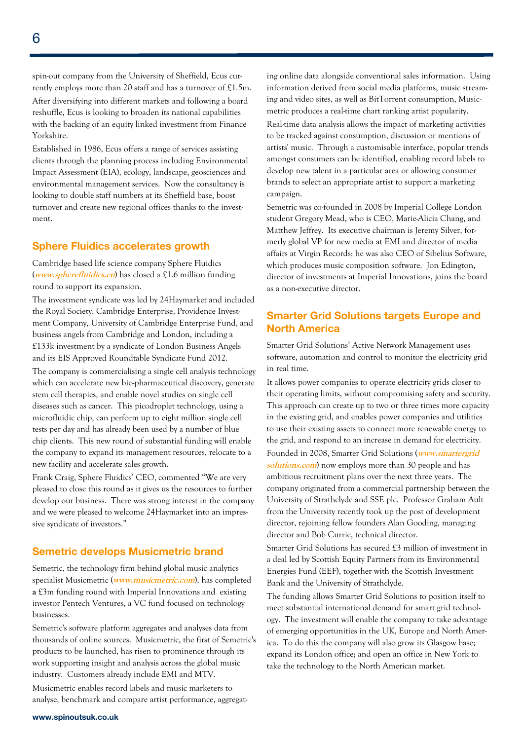spin-out company from the University of Sheffield, Ecus currently employs more than 20 staff and has a turnover of £1.5m. After diversifying into different markets and following a board reshuffle, Ecus is looking to broaden its national capabilities with the backing of an equity linked investment from Finance Yorkshire.

Established in 1986, Ecus offers a range of services assisting clients through the planning process including Environmental Impact Assessment (EIA), ecology, landscape, geosciences and environmental management services. Now the consultancy is looking to double staff numbers at its Sheffield base, boost turnover and create new regional offices thanks to the investment.

### **Sphere Fluidics accelerates growth**

Cambridge based life science company Sphere Fluidics (**www.spherefluidics.eu**) has closed a £1.6 million funding round to support its expansion.

The investment syndicate was led by 24Haymarket and included the Royal Society, Cambridge Enterprise, Providence Investment Company, University of Cambridge Enterprise Fund, and business angels from Cambridge and London, including a £133k investment by a syndicate of London Business Angels and its EIS Approved Roundtable Syndicate Fund 2012.

The company is commercialising a single cell analysis technology which can accelerate new bio-pharmaceutical discovery, generate stem cell therapies, and enable novel studies on single cell diseases such as cancer. This picodroplet technology, using a microfluidic chip, can perform up to eight million single cell tests per day and has already been used by a number of blue chip clients. This new round of substantial funding will enable the company to expand its management resources, relocate to a new facility and accelerate sales growth.

Frank Craig, Sphere Fluidics' CEO, commented "We are very pleased to close this round as it gives us the resources to further develop our business. There was strong interest in the company and we were pleased to welcome 24Haymarket into an impressive syndicate of investors."

### **Semetric develops Musicmetric brand**

Semetric, the technology firm behind global music analytics specialist Musicmetric (**www.musicmetric.com**), has completed **a** £3m funding round with Imperial Innovations and existing investor Pentech Ventures, a VC fund focused on technology businesses.

Semetric's software platform aggregates and analyses data from thousands of online sources. Musicmetric, the first of Semetric's products to be launched, has risen to prominence through its work supporting insight and analysis across the global music industry. Customers already include EMI and MTV. Musicmetric enables record labels and music marketers to analyse, benchmark and compare artist performance, aggregating online data alongside conventional sales information. Using information derived from social media platforms, music streaming and video sites, as well as BitTorrent consumption, Musicmetric produces a real-time chart ranking artist popularity.

Real-time data analysis allows the impact of marketing activities to be tracked against consumption, discussion or mentions of artists' music. Through a customisable interface, popular trends amongst consumers can be identified, enabling record labels to develop new talent in a particular area or allowing consumer brands to select an appropriate artist to support a marketing campaign.

Semetric was co-founded in 2008 by Imperial College London student Gregory Mead, who is CEO, Marie-Alicia Chang, and Matthew Jeffrey. Its executive chairman is Jeremy Silver, formerly global VP for new media at EMI and director of media affairs at Virgin Records; he was also CEO of Sibelius Software, which produces music composition software. Jon Edington, director of investments at Imperial Innovations, joins the board as a non-executive director.

### **Smarter Grid Solutions targets Europe and North America**

Smarter Grid Solutions' Active Network Management uses software, automation and control to monitor the electricity grid in real time.

It allows power companies to operate electricity grids closer to their operating limits, without compromising safety and security. This approach can create up to two or three times more capacity in the existing grid, and enables power companies and utilities to use their existing assets to connect more renewable energy to the grid, and respond to an increase in demand for electricity. Founded in 2008, Smarter Grid Solutions (**www.smartergrid**  solutions.com) now employs more than 30 people and has ambitious recruitment plans over the next three years. The company originated from a commercial partnership between the University of Strathclyde and SSE plc. Professor Graham Ault from the University recently took up the post of development director, rejoining fellow founders Alan Gooding, managing director and Bob Currie, technical director.

Smarter Grid Solutions has secured £3 million of investment in a deal led by Scottish Equity Partners from its Environmental Energies Fund (EEF), together with the Scottish Investment Bank and the University of Strathclyde.

The funding allows Smarter Grid Solutions to position itself to meet substantial international demand for smart grid technology. The investment will enable the company to take advantage of emerging opportunities in the UK, Europe and North America. To do this the company will also grow its Glasgow base; expand its London office; and open an office in New York to take the technology to the North American market.

#### **www.spinoutsuk.co.uk**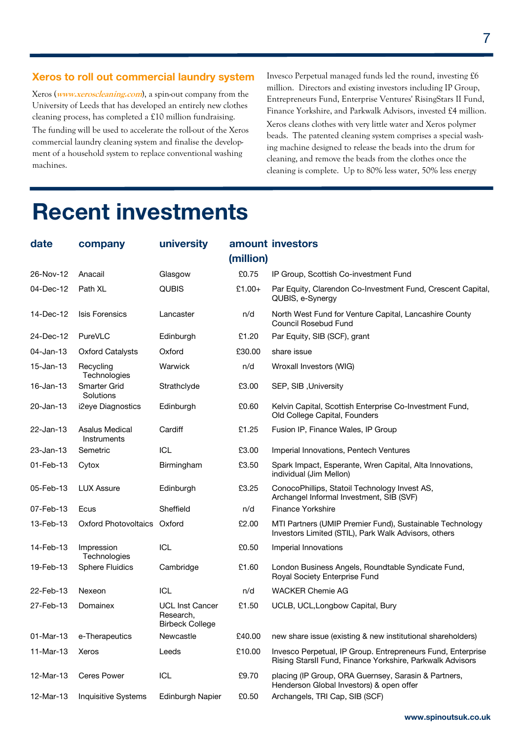### **Xeros to roll out commercial laundry system**

Xeros (**www.xeroscleaning.com**), a spin-out company from the University of Leeds that has developed an entirely new clothes cleaning process, has completed a £10 million fundraising. The funding will be used to accelerate the roll-out of the Xeros commercial laundry cleaning system and finalise the development of a household system to replace conventional washing machines.

Invesco Perpetual managed funds led the round, investing £6 million. Directors and existing investors including IP Group, Entrepreneurs Fund, Enterprise Ventures' RisingStars II Fund, Finance Yorkshire, and Parkwalk Advisors, invested £4 million. Xeros cleans clothes with very little water and Xeros polymer beads. The patented cleaning system comprises a special washing machine designed to release the beads into the drum for cleaning, and remove the beads from the clothes once the cleaning is complete. Up to 80% less water, 50% less energy

## **Recent investments**

| date         | company                              | university                                                    |           | amount investors                                                                                                         |
|--------------|--------------------------------------|---------------------------------------------------------------|-----------|--------------------------------------------------------------------------------------------------------------------------|
|              |                                      |                                                               | (million) |                                                                                                                          |
| 26-Nov-12    | Anacail                              | Glasgow                                                       | £0.75     | IP Group, Scottish Co-investment Fund                                                                                    |
| 04-Dec-12    | Path XL                              | <b>QUBIS</b>                                                  | $£1.00+$  | Par Equity, Clarendon Co-Investment Fund, Crescent Capital,<br>QUBIS, e-Synergy                                          |
| 14-Dec-12    | <b>Isis Forensics</b>                | Lancaster                                                     | n/d       | North West Fund for Venture Capital, Lancashire County<br><b>Council Rosebud Fund</b>                                    |
| 24-Dec-12    | PureVLC                              | Edinburgh                                                     | £1.20     | Par Equity, SIB (SCF), grant                                                                                             |
| $04$ -Jan-13 | <b>Oxford Catalysts</b>              | Oxford                                                        | £30.00    | share issue                                                                                                              |
| $15$ -Jan-13 | Recycling<br>Technologies            | Warwick                                                       | n/d       | Wroxall Investors (WIG)                                                                                                  |
| $16$ -Jan-13 | Smarter Grid<br>Solutions            | Strathclyde                                                   | £3.00     | SEP, SIB, University                                                                                                     |
| 20-Jan-13    | i2eye Diagnostics                    | Edinburgh                                                     | £0.60     | Kelvin Capital, Scottish Enterprise Co-Investment Fund,<br>Old College Capital, Founders                                 |
| 22-Jan-13    | <b>Asalus Medical</b><br>Instruments | Cardiff                                                       | £1.25     | Fusion IP, Finance Wales, IP Group                                                                                       |
| 23-Jan-13    | Semetric                             | <b>ICL</b>                                                    | £3.00     | Imperial Innovations, Pentech Ventures                                                                                   |
| 01-Feb-13    | Cytox                                | Birmingham                                                    | £3.50     | Spark Impact, Esperante, Wren Capital, Alta Innovations,<br>individual (Jim Mellon)                                      |
| 05-Feb-13    | <b>LUX Assure</b>                    | Edinburgh                                                     | £3.25     | ConocoPhillips, Statoil Technology Invest AS,<br>Archangel Informal Investment, SIB (SVF)                                |
| 07-Feb-13    | Ecus                                 | Sheffield                                                     | n/d       | <b>Finance Yorkshire</b>                                                                                                 |
| 13-Feb-13    | Oxford Photovoltaics Oxford          |                                                               | £2.00     | MTI Partners (UMIP Premier Fund), Sustainable Technology<br>Investors Limited (STIL), Park Walk Advisors, others         |
| 14-Feb-13    | Impression<br>Technologies           | <b>ICL</b>                                                    | £0.50     | Imperial Innovations                                                                                                     |
| 19-Feb-13    | <b>Sphere Fluidics</b>               | Cambridge                                                     | £1.60     | London Business Angels, Roundtable Syndicate Fund,<br>Royal Society Enterprise Fund                                      |
| 22-Feb-13    | Nexeon                               | <b>ICL</b>                                                    | n/d       | <b>WACKER Chemie AG</b>                                                                                                  |
| 27-Feb-13    | Domainex                             | <b>UCL Inst Cancer</b><br>Research,<br><b>Birbeck College</b> | £1.50     | UCLB, UCL, Longbow Capital, Bury                                                                                         |
| 01-Mar-13    | e-Therapeutics                       | Newcastle                                                     | £40.00    | new share issue (existing & new institutional shareholders)                                                              |
| 11-Mar-13    | Xeros                                | Leeds                                                         | £10.00    | Invesco Perpetual, IP Group. Entrepreneurs Fund, Enterprise<br>Rising StarsII Fund, Finance Yorkshire, Parkwalk Advisors |
| 12-Mar-13    | <b>Ceres Power</b>                   | <b>ICL</b>                                                    | £9.70     | placing (IP Group, ORA Guernsey, Sarasin & Partners,<br>Henderson Global Investors) & open offer                         |
| 12-Mar-13    | Inquisitive Systems                  | Edinburgh Napier                                              | £0.50     | Archangels, TRI Cap, SIB (SCF)                                                                                           |

**www.spinoutsuk.co.uk**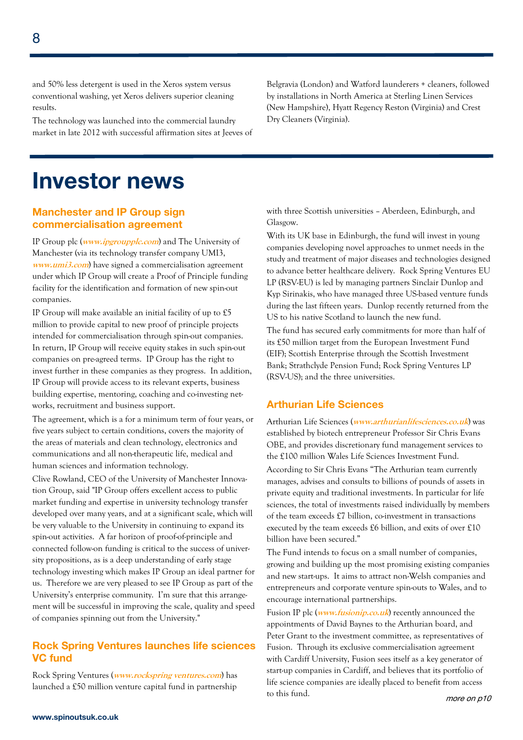and 50% less detergent is used in the Xeros system versus conventional washing, yet Xeros delivers superior cleaning results.

The technology was launched into the commercial laundry market in late 2012 with successful affirmation sites at Jeeves of Belgravia (London) and Watford launderers + cleaners, followed by installations in North America at Sterling Linen Services (New Hampshire), Hyatt Regency Reston (Virginia) and Crest Dry Cleaners (Virginia).

### **Investor news**

### **Manchester and IP Group sign commercialisation agreement**

IP Group plc (**www.ipgroupplc.com**) and The University of Manchester (via its technology transfer company UMI3, **www.umi3.com**) have signed a commercialisation agreement under which IP Group will create a Proof of Principle funding facility for the identification and formation of new spin-out companies.

IP Group will make available an initial facility of up to £5 million to provide capital to new proof of principle projects intended for commercialisation through spin-out companies. In return, IP Group will receive equity stakes in such spin-out companies on pre-agreed terms. IP Group has the right to invest further in these companies as they progress. In addition, IP Group will provide access to its relevant experts, business building expertise, mentoring, coaching and co-investing networks, recruitment and business support.

The agreement, which is a for a minimum term of four years, or five years subject to certain conditions, covers the majority of the areas of materials and clean technology, electronics and communications and all non-therapeutic life, medical and human sciences and information technology.

Clive Rowland, CEO of the University of Manchester Innovation Group, said "IP Group offers excellent access to public market funding and expertise in university technology transfer developed over many years, and at a significant scale, which will be very valuable to the University in continuing to expand its spin-out activities. A far horizon of proof-of-principle and connected follow-on funding is critical to the success of university propositions, as is a deep understanding of early stage technology investing which makes IP Group an ideal partner for us. Therefore we are very pleased to see IP Group as part of the University's enterprise community. I'm sure that this arrangement will be successful in improving the scale, quality and speed of companies spinning out from the University."

### **Rock Spring Ventures launches life sciences VC fund**

Rock Spring Ventures (**www.rockspring ventures.com**) has launched a £50 million venture capital fund in partnership

with three Scottish universities – Aberdeen, Edinburgh, and Glasgow.

With its UK base in Edinburgh, the fund will invest in young companies developing novel approaches to unmet needs in the study and treatment of major diseases and technologies designed to advance better healthcare delivery. Rock Spring Ventures EU LP (RSV-EU) is led by managing partners Sinclair Dunlop and Kyp Sirinakis, who have managed three US-based venture funds during the last fifteen years. Dunlop recently returned from the US to his native Scotland to launch the new fund.

The fund has secured early commitments for more than half of its £50 million target from the European Investment Fund (EIF); Scottish Enterprise through the Scottish Investment Bank; Strathclyde Pension Fund; Rock Spring Ventures LP (RSV-US); and the three universities.

### **Arthurian Life Sciences**

Arthurian Life Sciences (**www.arthurianlifesciences.co.uk**) was established by biotech entrepreneur Professor Sir Chris Evans OBE, and provides discretionary fund management services to the £100 million Wales Life Sciences Investment Fund. According to Sir Chris Evans "The Arthurian team currently manages, advises and consults to billions of pounds of assets in private equity and traditional investments. In particular for life sciences, the total of investments raised individually by members of the team exceeds £7 billion, co-investment in transactions executed by the team exceeds £6 billion, and exits of over £10 billion have been secured."

The Fund intends to focus on a small number of companies, growing and building up the most promising existing companies and new start-ups. It aims to attract non-Welsh companies and entrepreneurs and corporate venture spin-outs to Wales, and to encourage international partnerships.

Fusion IP plc (**www.fusionip.co.uk**) recently announced the appointments of David Baynes to the Arthurian board, and Peter Grant to the investment committee, as representatives of Fusion. Through its exclusive commercialisation agreement with Cardiff University, Fusion sees itself as a key generator of start-up companies in Cardiff, and believes that its portfolio of life science companies are ideally placed to benefit from access to this fund. more on p10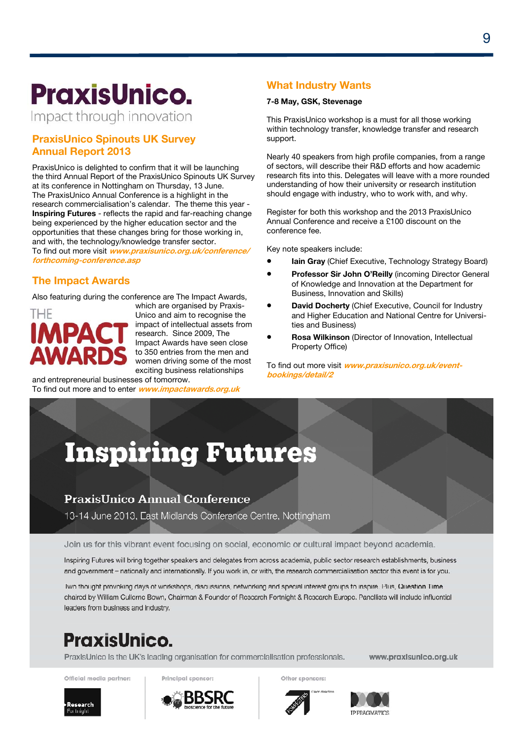# **PraxisUnico.**

Impact through innovation

### **PraxisUnico Spinouts UK Survey Annual Report 2013**

PraxisUnico is delighted to confirm that it will be launching the third Annual Report of the PraxisUnico Spinouts UK Survey at its conference in Nottingham on Thursday, 13 June. The PraxisUnico Annual Conference is a highlight in the research commercialisation's calendar. The theme this year - **Inspiring Futures** - reflects the rapid and far-reaching change being experienced by the higher education sector and the opportunities that these changes bring for those working in, and with, the technology/knowledge transfer sector. To find out more visit **www.praxisunico.org.uk/conference/ forthcoming-conference.asp**

### **The Impact Awards**

Also featuring during the conference are The Impact Awards,



which are organised by Praxis-Unico and aim to recognise the impact of intellectual assets from research. Since 2009, The Impact Awards have seen close to 350 entries from the men and women driving some of the most exciting business relationships and entrepreneurial businesses of tomorrow.

To find out more and to enter **www.impactawards.org.uk**

### **What Industry Wants**

#### **7-8 May, GSK, Stevenage**

This PraxisUnico workshop is a must for all those working within technology transfer, knowledge transfer and research support.

Nearly 40 speakers from high profile companies, from a range of sectors, will describe their R&D efforts and how academic research fits into this. Delegates will leave with a more rounded understanding of how their university or research institution should engage with industry, who to work with, and why.

Register for both this workshop and the 2013 PraxisUnico Annual Conference and receive a £100 discount on the conference fee.

Key note speakers include:

- **Iain Gray** (Chief Executive, Technology Strategy Board)
- **Professor Sir John O'Reilly** (incoming Director General of Knowledge and Innovation at the Department for Business, Innovation and Skills)
- **David Docherty** (Chief Executive, Council for Industry and Higher Education and National Centre for Universities and Business)
- **Rosa Wilkinson** (Director of Innovation, Intellectual Property Office)

To find out more visit **www.praxisunico.org.uk/eventbookings/detail/2**

# **Inspiring Futures**

### **PraxisUnico Annual Conference**

13-14 June 2013, East Midlands Conference Centre, Nottingham

Join us for this vibrant event focusing on social, economic or cultural impact beyond academia.

Inspiring Futures will bring together speakers and delegates from across academia, public sector research establishments, business and government - nationally and internationally. If you work in, or with, the research commercialisation sector this event is for you.

Two thought provoking days of workshops, discussions, networking and special interest groups to inspire. Plus, Question Time chaired by William Cullerne Bown, Chairman & Founder of Research Fortnight & Research Europe. Panellists will include influential leaders from business and industry.

### **PraxisUnico.**

PraxisUnico is the UK's leading organisation for commercialisation professionals.

Official media partner:

**Research** 

Principal sponsor:

Other sponsors:

**IP PRACIMATICS** 

www.praxisunico.org.uk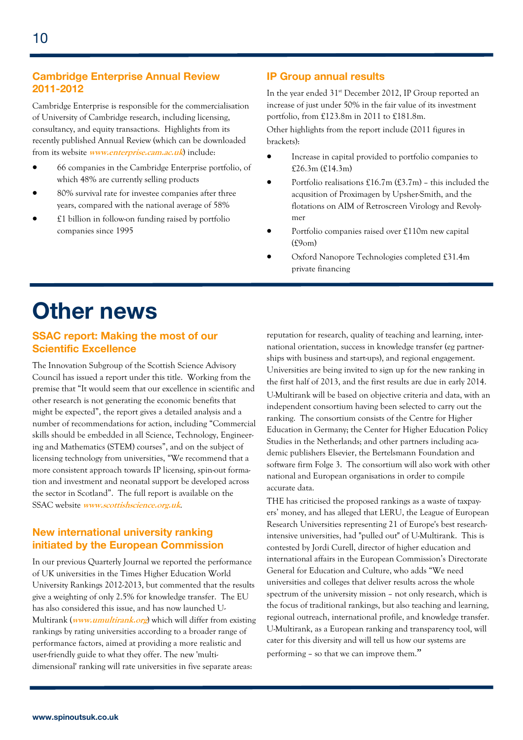### **Cambridge Enterprise Annual Review 2011-2012**

Cambridge Enterprise is responsible for the commercialisation of University of Cambridge research, including licensing, consultancy, and equity transactions. Highlights from its recently published Annual Review (which can be downloaded from its website **www.enterprise.cam.ac.uk**) include:

- 66 companies in the Cambridge Enterprise portfolio, of which 48% are currently selling products
- 80% survival rate for investee companies after three years, compared with the national average of 58%
- £1 billion in follow-on funding raised by portfolio companies since 1995

### **IP Group annual results**

In the year ended 31<sup>st</sup> December 2012, IP Group reported an increase of just under 50% in the fair value of its investment portfolio, from £123.8m in 2011 to £181.8m.

Other highlights from the report include (2011 figures in brackets):

- Increase in capital provided to portfolio companies to £26.3m (£14.3m)
- Portfolio realisations  $£16.7m$  (£3.7m) this included the acqusition of Proximagen by Upsher-Smith, and the flotations on AIM of Retroscreen Virology and Revolymer
- Portfolio companies raised over £110m new capital (£9om)
- Oxford Nanopore Technologies completed £31.4m private financing

# **Other news**

### **SSAC report: Making the most of our Scientific Excellence**

The Innovation Subgroup of the Scottish Science Advisory Council has issued a report under this title. Working from the premise that "It would seem that our excellence in scientific and other research is not generating the economic benefits that might be expected", the report gives a detailed analysis and a number of recommendations for action, including "Commercial skills should be embedded in all Science, Technology, Engineering and Mathematics (STEM) courses", and on the subject of licensing technology from universities, "We recommend that a more consistent approach towards IP licensing, spin-out formation and investment and neonatal support be developed across the sector in Scotland". The full report is available on the SSAC website **www.scottishscience.org.uk**.

### **New international university ranking initiated by the European Commission**

In our previous Quarterly Journal we reported the performance of UK universities in the Times Higher Education World University Rankings 2012-2013, but commented that the results give a weighting of only 2.5% for knowledge transfer. The EU has also considered this issue, and has now launched U-Multirank (**www.umultirank.org**) which will differ from existing rankings by rating universities according to a broader range of performance factors, aimed at providing a more realistic and user-friendly guide to what they offer. The new 'multidimensional' ranking will rate universities in five separate areas:

reputation for research, quality of teaching and learning, international orientation, success in knowledge transfer (eg partnerships with business and start-ups), and regional engagement. Universities are being invited to sign up for the new ranking in the first half of 2013, and the first results are due in early 2014.

U-Multirank will be based on objective criteria and data, with an independent consortium having been selected to carry out the ranking. The consortium consists of the Centre for Higher Education in Germany; the Center for Higher Education Policy Studies in the Netherlands; and other partners including academic publishers Elsevier, the Bertelsmann Foundation and software firm Folge 3. The consortium will also work with other national and European organisations in order to compile accurate data.

THE has criticised the proposed rankings as a waste of taxpayers' money, and has alleged that LERU, the League of European Research Universities representing 21 of Europe's best researchintensive universities, had "pulled out" of U-Multirank. This is contested by Jordi Curell, director of higher education and international affairs in the European Commission's Directorate General for Education and Culture, who adds "We need universities and colleges that deliver results across the whole spectrum of the university mission – not only research, which is the focus of traditional rankings, but also teaching and learning, regional outreach, international profile, and knowledge transfer. U-Multirank, as a European ranking and transparency tool, will cater for this diversity and will tell us how our systems are performing – so that we can improve them."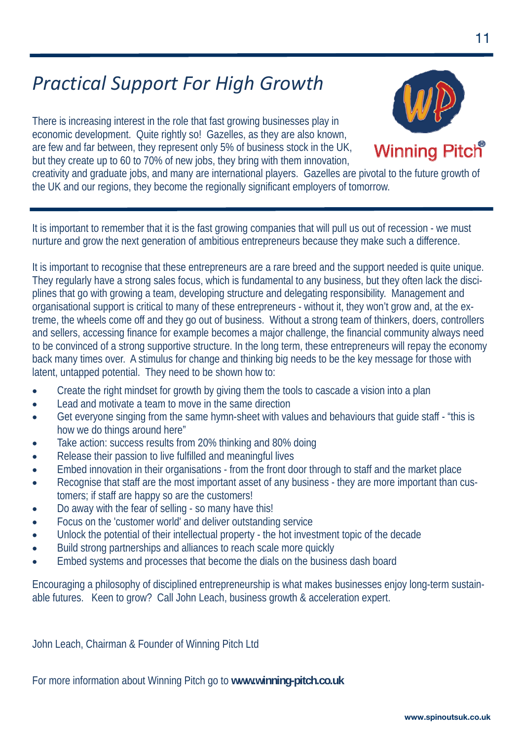### *Practical Support For High Growth*

There is increasing interest in the role that fast growing businesses play in economic development. Quite rightly so! Gazelles, as they are also known, are few and far between, they represent only 5% of business stock in the UK, but they create up to 60 to 70% of new jobs, they bring with them innovation,



creativity and graduate jobs, and many are international players. Gazelles are pivotal to the future growth of the UK and our regions, they become the regionally significant employers of tomorrow.

It is important to remember that it is the fast growing companies that will pull us out of recession - we must nurture and grow the next generation of ambitious entrepreneurs because they make such a difference.

It is important to recognise that these entrepreneurs are a rare breed and the support needed is quite unique. They regularly have a strong sales focus, which is fundamental to any business, but they often lack the disciplines that go with growing a team, developing structure and delegating responsibility. Management and organisational support is critical to many of these entrepreneurs - without it, they won't grow and, at the extreme, the wheels come off and they go out of business. Without a strong team of thinkers, doers, controllers and sellers, accessing finance for example becomes a major challenge, the financial community always need to be convinced of a strong supportive structure. In the long term, these entrepreneurs will repay the economy back many times over. A stimulus for change and thinking big needs to be the key message for those with latent, untapped potential. They need to be shown how to:

- Create the right mindset for growth by giving them the tools to cascade a vision into a plan
- Lead and motivate a team to move in the same direction
- Get everyone singing from the same hymn-sheet with values and behaviours that guide staff "this is how we do things around here"
- Take action: success results from 20% thinking and 80% doing
- Release their passion to live fulfilled and meaningful lives
- Embed innovation in their organisations from the front door through to staff and the market place
- Recognise that staff are the most important asset of any business they are more important than customers; if staff are happy so are the customers!
- Do away with the fear of selling so many have this!
- Focus on the 'customer world' and deliver outstanding service
- Unlock the potential of their intellectual property the hot investment topic of the decade
- Build strong partnerships and alliances to reach scale more quickly
- Embed systems and processes that become the dials on the business dash board

Encouraging a philosophy of disciplined entrepreneurship is what makes businesses enjoy long-term sustainable futures. Keen to grow? Call John Leach, business growth & acceleration expert.

John Leach, Chairman & Founder of Winning Pitch Ltd

For more information about Winning Pitch go to **www.winning-pitch.co.uk**